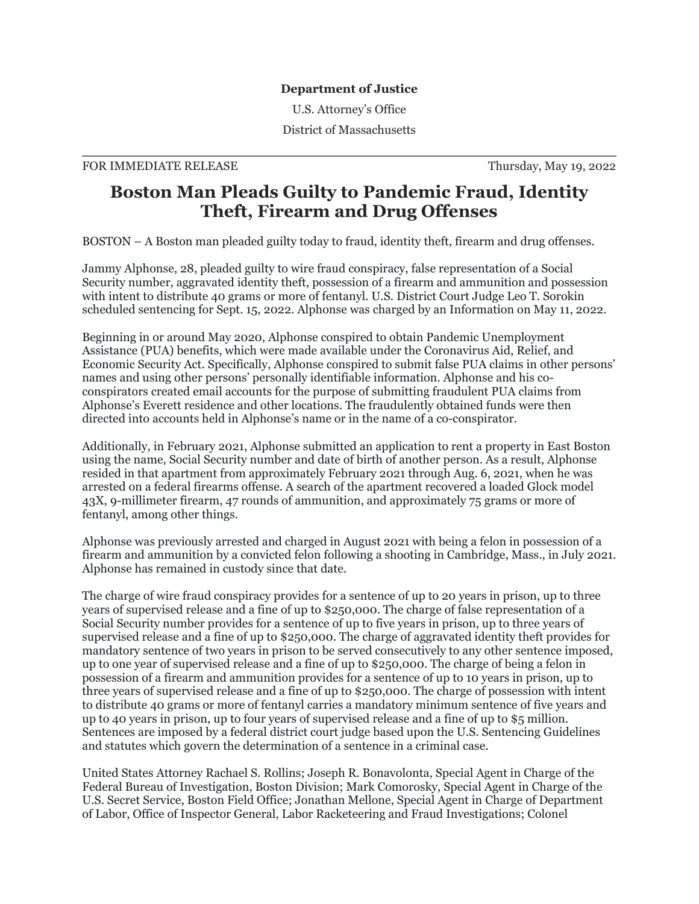## **Department of Justice**

U.S. Attorney's Office

District of Massachusetts

## FOR IMMEDIATE RELEASE Thursday, May 19, 2022

## **Boston Man Pleads Guilty to Pandemic Fraud, Identity Theft, Firearm and Drug Offenses**

BOSTON – A Boston man pleaded guilty today to fraud, identity theft, firearm and drug offenses.

Jammy Alphonse, 28, pleaded guilty to wire fraud conspiracy, false representation of a Social Security number, aggravated identity theft, possession of a firearm and ammunition and possession with intent to distribute 40 grams or more of fentanyl. U.S. District Court Judge Leo T. Sorokin scheduled sentencing for Sept. 15, 2022. Alphonse was charged by an Information on May 11, 2022.

Beginning in or around May 2020, Alphonse conspired to obtain Pandemic Unemployment Assistance (PUA) benefits, which were made available under the Coronavirus Aid, Relief, and Economic Security Act. Specifically, Alphonse conspired to submit false PUA claims in other persons' names and using other persons' personally identifiable information. Alphonse and his coconspirators created email accounts for the purpose of submitting fraudulent PUA claims from Alphonse's Everett residence and other locations. The fraudulently obtained funds were then directed into accounts held in Alphonse's name or in the name of a co-conspirator.

Additionally, in February 2021, Alphonse submitted an application to rent a property in East Boston using the name, Social Security number and date of birth of another person. As a result, Alphonse resided in that apartment from approximately February 2021 through Aug. 6, 2021, when he was arrested on a federal firearms offense. A search of the apartment recovered a loaded Glock model 43X, 9-millimeter firearm, 47 rounds of ammunition, and approximately 75 grams or more of fentanyl, among other things.

Alphonse was previously arrested and charged in August 2021 with being a felon in possession of a firearm and ammunition by a convicted felon following a shooting in Cambridge, Mass., in July 2021. Alphonse has remained in custody since that date.

The charge of wire fraud conspiracy provides for a sentence of up to 20 years in prison, up to three years of supervised release and a fine of up to \$250,000. The charge of false representation of a Social Security number provides for a sentence of up to five years in prison, up to three years of supervised release and a fine of up to \$250,000. The charge of aggravated identity theft provides for mandatory sentence of two years in prison to be served consecutively to any other sentence imposed, up to one year of supervised release and a fine of up to \$250,000. The charge of being a felon in possession of a firearm and ammunition provides for a sentence of up to 10 years in prison, up to three years of supervised release and a fine of up to \$250,000. The charge of possession with intent to distribute 40 grams or more of fentanyl carries a mandatory minimum sentence of five years and up to 40 years in prison, up to four years of supervised release and a fine of up to \$5 million. Sentences are imposed by a federal district court judge based upon the U.S. Sentencing Guidelines and statutes which govern the determination of a sentence in a criminal case.

United States Attorney Rachael S. Rollins; Joseph R. Bonavolonta, Special Agent in Charge of the Federal Bureau of Investigation, Boston Division; Mark Comorosky, Special Agent in Charge of the U.S. Secret Service, Boston Field Office; Jonathan Mellone, Special Agent in Charge of Department of Labor, Office of Inspector General, Labor Racketeering and Fraud Investigations; Colonel